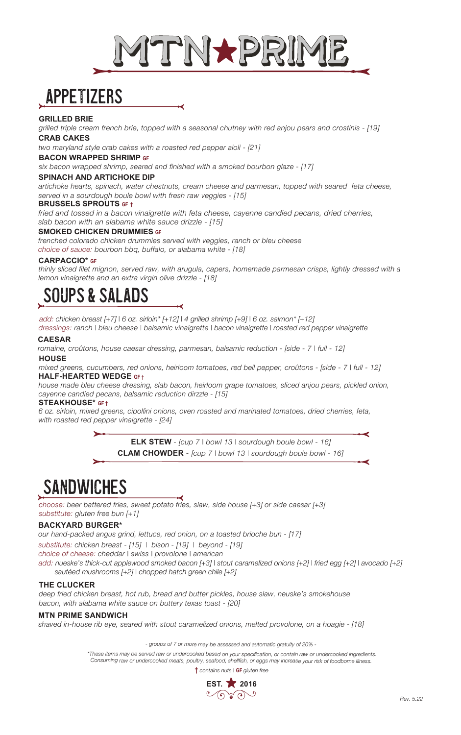

## APpETIZERS

#### **GRILLED BRIE**

**CRAB CAKES** *grilled triple cream french brie, topped with a seasonal chutney with red anjou pears and crostinis - [19]* 

*two maryland style crab cakes with a roasted red pepper aioli - [21]*

**BACON WRAPPED SHRIMP GF**

*six bacon wrapped shrimp, seared and finished with a smoked bourbon glaze - [17]*

#### **SPINACH AND ARTICHOKE DIP**

*artichoke hearts, spinach, water chestnuts, cream cheese and parmesan, topped with seared feta cheese, served in a sourdough boule bowl with fresh raw veggies - [15]*

#### **BRUSSELS SPROUTS GF †**

*fried and tossed in a bacon vinaigrette with feta cheese, cayenne candied pecans, dried cherries, slab bacon with an alabama white sauce drizzle - [15]*

#### **SMOKED CHICKEN DRUMMIES GF**

*frenched colorado chicken drummies served with veggies, ranch or bleu cheese choice of sauce: bourbon bbq, buffalo, or alabama white - [18]*

#### **CARPACCIO\* GF**

*thinly sliced filet mignon, served raw, with arugula, capers, homemade parmesan crisps, lightly dressed with a lemon vinaigrette and an extra virgin olive drizzle - [18]*

## SOUPS & SALADS

*add: chicken breast [+7] | 6 oz. sirloin\* [+12] | 4 grilled shrimp [+9] | 6 oz. salmon\* [+12]* 

*dressings: ranch | bleu cheese | balsamic vinaigrette | bacon vinaigrette | roasted red pepper vinaigrette*

#### **CAESAR**

*romaine, croûtons, house caesar dressing, parmesan, balsamic reduction - [side - 7 | full - 12]*

### **HOUSE**

*mixed greens, cucumbers, red onions, heirloom tomatoes, red bell pepper, croûtons - [side - 7 | full - 12]*  **HALF-HEARTED WEDGE GF †**

*house made bleu cheese dressing, slab bacon, heirloom grape tomatoes, sliced anjou pears, pickled onion, cayenne candied pecans, balsamic reduction dirzzle - [15]*

#### **STEAKHOUSE\* GF †**

*6 oz. sirloin, mixed greens, cipollini onions, oven roasted and marinated tomatoes, dried cherries, feta, with roasted red pepper vinaigrette - [24]*

> **ELK STEW** *- [cup 7 | bowl 13 | sourdough boule bowl - 16]* **CLAM CHOWDER** *- [cup 7 | bowl 13 | sourdough boule bowl - 16]*

## SANDWICHES

*choose: beer battered fries, sweet potato fries, slaw, side house [+3] or side caesar [+3] substitute: gluten free bun [+1]* 

#### **BACKYARD BURGER\***

*our hand-packed angus grind, lettuce, red onion, on a toasted brioche bun - [17]*

*substitute: chicken breast - [15] | bison - [19] | beyond - [19]*

*choice of cheese: cheddar | swiss | provolone | american*

*add: nueske's thick-cut applewood smoked bacon [+3] | stout caramelized onions [+2] | fried egg [+2] | avocado [+2] sautéed mushrooms [+2] | chopped hatch green chile [+2]* 

#### **THE CLUCKER**

*deep fried chicken breast, hot rub, bread and butter pickles, house slaw, neuske's smokehouse bacon, with alabama white sauce on buttery texas toast - [20]*

#### **MTN PRIME SANDWICH**

*shaved in-house rib eye, seared with stout caramelized onions, melted provolone, on a hoagie - [18]* 

*- groups of 7 or more may be assessed and automatic gratuity of 20% -*

 *\*These items may be served raw or undercooked based on your specification, or contain raw or undercooked ingredients. Consuming raw or undercooked meats, poultry, seafood, shellfish, or eggs may increase your risk of foodborne illness.*

**†** *contains nuts |* **GF** *gluten free*